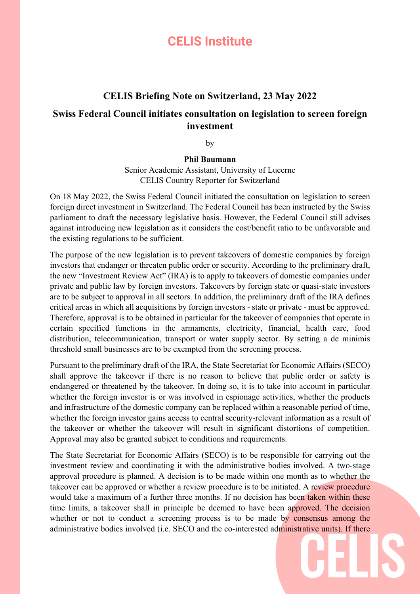## **CELIS Institute**

## **CELIS Briefing Note on Switzerland, 23 May 2022**

## **Swiss Federal Council initiates consultation on legislation to screen foreign investment**

by

## **Phil Baumann**

Senior Academic Assistant, University of Lucerne CELIS Country Reporter for Switzerland

On 18 May 2022, the Swiss Federal Council initiated the consultation on legislation to screen foreign direct investment in Switzerland. The Federal Council has been instructed by the Swiss parliament to draft the necessary legislative basis. However, the Federal Council still advises against introducing new legislation as it considers the cost/benefit ratio to be unfavorable and the existing regulations to be sufficient.

The purpose of the new legislation is to prevent takeovers of domestic companies by foreign investors that endanger or threaten public order or security. According to the preliminary draft, the new "Investment Review Act" (IRA) is to apply to takeovers of domestic companies under private and public law by foreign investors. Takeovers by foreign state or quasi-state investors are to be subject to approval in all sectors. In addition, the preliminary draft of the IRA defines critical areas in which all acquisitions by foreign investors - state or private - must be approved. Therefore, approval is to be obtained in particular for the takeover of companies that operate in certain specified functions in the armaments, electricity, financial, health care, food distribution, telecommunication, transport or water supply sector. By setting a de minimis threshold small businesses are to be exempted from the screening process.

Pursuant to the preliminary draft of the IRA, the State Secretariat for Economic Affairs (SECO) shall approve the takeover if there is no reason to believe that public order or safety is endangered or threatened by the takeover. In doing so, it is to take into account in particular whether the foreign investor is or was involved in espionage activities, whether the products and infrastructure of the domestic company can be replaced within a reasonable period of time, whether the foreign investor gains access to central security-relevant information as a result of the takeover or whether the takeover will result in significant distortions of competition. Approval may also be granted subject to conditions and requirements.

The State Secretariat for Economic Affairs (SECO) is to be responsible for carrying out the investment review and coordinating it with the administrative bodies involved. A two-stage approval procedure is planned. A decision is to be made within one month as to whether the takeover can be approved or whether a review procedure is to be initiated. A review procedure would take a maximum of a further three months. If no decision has been taken within these time limits, a takeover shall in principle be deemed to have been approved. The decision whether or not to conduct a screening process is to be made by consensus among the administrative bodies involved (i.e. SECO and the co-interested administrative units). If there